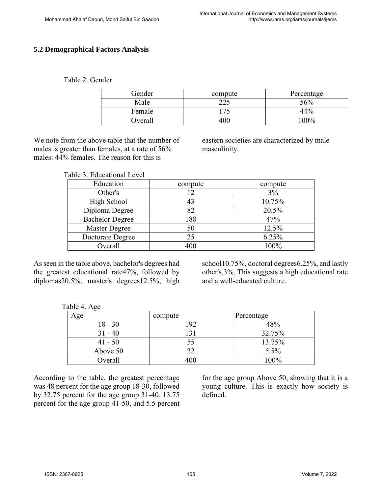### **5.2 Demographical Factors Analysis**

#### Table 2. Gender

| Gender  | compute | Percentage |  |  |  |
|---------|---------|------------|--|--|--|
| Male    | つつぐ     | 56%        |  |  |  |
| Female  |         | 44%        |  |  |  |
| Overall | 400     | $100\%$    |  |  |  |

We note from the above table that the number of males is greater than females, at a rate of 56% males: 44% females. The reason for this is

eastern societies are characterized by male masculinity.

| Table 3. Educational Level |         |         |
|----------------------------|---------|---------|
| Education                  | compute | compute |
| Other's                    | 12      | 3%      |
| High School                | 43      | 10.75%  |
| Diploma Degree             | 82      | 20.5%   |
| <b>Bachelor Degree</b>     | 188     | 47%     |
| <b>Master Degree</b>       | 50      | 12.5%   |
| Doctorate Degree           | 25      | 6.25%   |

As seen in the table above, bachelor's degrees had the greatest educational rate47%, followed by diplomas20.5%, master's degrees12.5%, high school10.75%, doctoral degrees6.25%, and lastly other's,3%. This suggests a high educational rate and a well-educated culture.

| ີ         |         |            |
|-----------|---------|------------|
| Age       | compute | Percentage |
| $18 - 30$ | 192     | 48%        |
| $31 - 40$ |         | 32.75%     |
| $41 - 50$ |         | 13.75%     |
| Above 50  |         | 5.5%       |
| Overall   | 400     | 100%       |

Overall 100%

According to the table, the greatest percentage was 48 percent for the age group 18-30, followed by 32.75 percent for the age group 31-40, 13.75 percent for the age group 41-50, and 5.5 percent

for the age group Above 50, showing that it is a young culture. This is exactly how society is defined.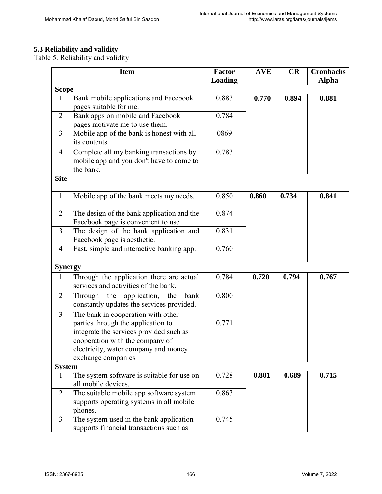# **5.3 Reliability and validity**

Table 5. Reliability and validity

|                | <b>Item</b>                                                                                                                                                                                    | <b>Factor</b><br>Loading | <b>AVE</b> | CR    | <b>Cronbachs</b><br><b>Alpha</b> |
|----------------|------------------------------------------------------------------------------------------------------------------------------------------------------------------------------------------------|--------------------------|------------|-------|----------------------------------|
| <b>Scope</b>   |                                                                                                                                                                                                |                          |            |       |                                  |
| $\mathbf{1}$   | Bank mobile applications and Facebook<br>pages suitable for me.                                                                                                                                | 0.883                    | 0.770      | 0.894 | 0.881                            |
| $\overline{2}$ | Bank apps on mobile and Facebook<br>pages motivate me to use them.                                                                                                                             | 0.784                    |            |       |                                  |
| $\overline{3}$ | Mobile app of the bank is honest with all<br>its contents.                                                                                                                                     | 0869                     |            |       |                                  |
| 4              | Complete all my banking transactions by<br>mobile app and you don't have to come to<br>the bank.                                                                                               | 0.783                    |            |       |                                  |
| <b>Site</b>    |                                                                                                                                                                                                |                          |            |       |                                  |
| $\mathbf{1}$   | Mobile app of the bank meets my needs.                                                                                                                                                         | 0.850                    | 0.860      | 0.734 | 0.841                            |
| $\overline{2}$ | The design of the bank application and the<br>Facebook page is convenient to use                                                                                                               | 0.874                    |            |       |                                  |
| 3              | The design of the bank application and<br>Facebook page is aesthetic.                                                                                                                          | 0.831                    |            |       |                                  |
| $\overline{4}$ | Fast, simple and interactive banking app.                                                                                                                                                      | 0.760                    |            |       |                                  |
| <b>Synergy</b> |                                                                                                                                                                                                |                          |            |       |                                  |
| $\mathbf{1}$   | Through the application there are actual<br>services and activities of the bank.                                                                                                               | 0.784                    | 0.720      | 0.794 | 0.767                            |
| $\overline{2}$ | application,<br>Through<br>the<br>bank<br>the<br>constantly updates the services provided.                                                                                                     | 0.800                    |            |       |                                  |
| $\overline{3}$ | The bank in cooperation with other<br>parties through the application to<br>integrate the services provided such as<br>cooperation with the company of<br>electricity, water company and money | 0.771                    |            |       |                                  |
|                | exchange companies                                                                                                                                                                             |                          |            |       |                                  |
| <b>System</b>  |                                                                                                                                                                                                |                          |            |       |                                  |
| 1              | The system software is suitable for use on<br>all mobile devices.                                                                                                                              | 0.728                    | 0.801      | 0.689 | 0.715                            |
| $\overline{2}$ | The suitable mobile app software system<br>supports operating systems in all mobile<br>phones.                                                                                                 | 0.863                    |            |       |                                  |
| $\overline{3}$ | The system used in the bank application<br>supports financial transactions such as                                                                                                             | 0.745                    |            |       |                                  |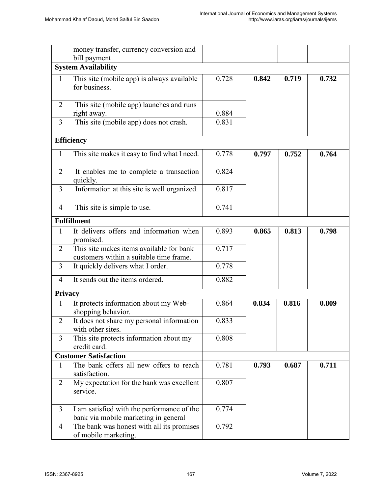|                | money transfer, currency conversion and<br>bill payment                             |       |       |       |       |
|----------------|-------------------------------------------------------------------------------------|-------|-------|-------|-------|
|                | <b>System Availability</b>                                                          |       |       |       |       |
| $\mathbf{1}$   | This site (mobile app) is always available<br>for business.                         | 0.728 | 0.842 | 0.719 | 0.732 |
| $\overline{2}$ | This site (mobile app) launches and runs<br>right away.                             | 0.884 |       |       |       |
| $\overline{3}$ | This site (mobile app) does not crash.                                              | 0.831 |       |       |       |
|                | <b>Efficiency</b>                                                                   |       |       |       |       |
| $\mathbf{1}$   | This site makes it easy to find what I need.                                        | 0.778 | 0.797 | 0.752 | 0.764 |
| $\overline{2}$ | It enables me to complete a transaction<br>quickly.                                 | 0.824 |       |       |       |
| $\overline{3}$ | Information at this site is well organized.                                         | 0.817 |       |       |       |
| $\overline{4}$ | This site is simple to use.                                                         | 0.741 |       |       |       |
|                | <b>Fulfillment</b>                                                                  |       |       |       |       |
| 1              | It delivers offers and information when<br>promised.                                | 0.893 | 0.865 | 0.813 | 0.798 |
| $\overline{2}$ | This site makes items available for bank<br>customers within a suitable time frame. | 0.717 |       |       |       |
| $\overline{3}$ | It quickly delivers what I order.                                                   | 0.778 |       |       |       |
| $\overline{4}$ | It sends out the items ordered.                                                     | 0.882 |       |       |       |
| <b>Privacy</b> |                                                                                     |       |       |       |       |
| $\mathbf{1}$   | It protects information about my Web-<br>shopping behavior.                         | 0.864 | 0.834 | 0.816 | 0.809 |
| $\overline{2}$ | It does not share my personal information<br>with other sites.                      | 0.833 |       |       |       |
| $\overline{3}$ | This site protects information about my<br>credit card.                             | 0.808 |       |       |       |
|                | <b>Customer Satisfaction</b>                                                        |       |       |       |       |
| 1              | The bank offers all new offers to reach<br>satisfaction.                            | 0.781 | 0.793 | 0.687 | 0.711 |
| $\overline{2}$ | My expectation for the bank was excellent<br>service.                               | 0.807 |       |       |       |
| $\overline{3}$ | I am satisfied with the performance of the<br>bank via mobile marketing in general  | 0.774 |       |       |       |
| $\overline{4}$ | The bank was honest with all its promises<br>of mobile marketing.                   | 0.792 |       |       |       |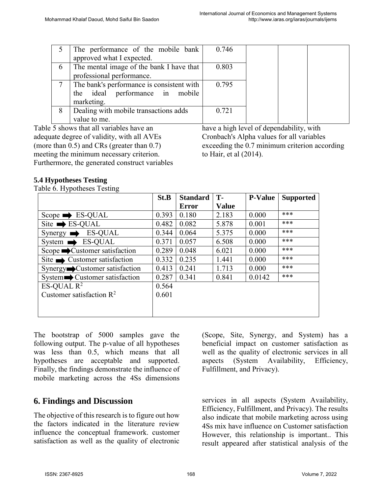|   | The performance of the mobile bank        | 0.746 |                      |                     |  |
|---|-------------------------------------------|-------|----------------------|---------------------|--|
|   | approved what I expected.                 |       |                      |                     |  |
| 6 | The mental image of the bank I have that  | 0.803 |                      |                     |  |
|   | professional performance.                 |       |                      |                     |  |
|   | The bank's performance is consistent with | 0.795 |                      |                     |  |
|   | the ideal performance in mobile           |       |                      |                     |  |
|   | marketing.                                |       |                      |                     |  |
| 8 | Dealing with mobile transactions adds     | 0.721 |                      |                     |  |
|   | value to me.                              |       |                      |                     |  |
|   |                                           | .     | $\sim$ $\sim$ $\sim$ | $-1$ $-1$ $-1$ $-1$ |  |

Table 5 shows that all variables have an adequate degree of validity, with all AVEs (more than 0.5) and CRs (greater than 0.7) meeting the minimum necessary criterion. Furthermore, the generated construct variables have a high level of dependability, with Cronbach's Alpha values for all variables exceeding the 0.7 minimum criterion according to Hair, et al (2014).

#### **5.4 Hypotheses Testing**

Table 6. Hypotheses Testing

|                                               | St.B  | <b>Standard</b> | T-           | <b>P-Value</b> | <b>Supported</b> |
|-----------------------------------------------|-------|-----------------|--------------|----------------|------------------|
|                                               |       | Error           | <b>Value</b> |                |                  |
| Scope $\rightarrow$ ES-QUAL                   | 0.393 | 0.180           | 2.183        | 0.000          | ***              |
| $\text{Site} \rightarrow \text{ES-QUAL}$      | 0.482 | 0.082           | 5.878        | 0.001          | ***              |
| <b>ES-QUAL</b><br>Synergy $\blacksquare$<br>┻ | 0.344 | 0.064           | 5.375        | 0.000          | ***              |
| <b>ES-QUAL</b><br>System $\rightarrow$        | 0.371 | 0.057           | 6.508        | 0.000          | ***              |
| Scope $\rightarrow$ Customer satisfaction     | 0.289 | 0.048           | 6.021        | 0.000          | ***              |
| Site $\longrightarrow$ Customer satisfaction  | 0.332 | 0.235           | 1.441        | 0.000          | ***              |
| Synergy Customer satisfaction                 | 0.413 | 0.241           | 1.713        | 0.000          | ***              |
| System Customer satisfaction                  | 0.287 | 0.341           | 0.841        | 0.0142         | ***              |
| ES-QUAL $\mathbb{R}^2$                        | 0.564 |                 |              |                |                  |
| Customer satisfaction $\mathbb{R}^2$          | 0.601 |                 |              |                |                  |
|                                               |       |                 |              |                |                  |
|                                               |       |                 |              |                |                  |

The bootstrap of 5000 samples gave the following output. The p-value of all hypotheses was less than 0.5, which means that all hypotheses are acceptable and supported. Finally, the findings demonstrate the influence of mobile marketing across the 4Ss dimensions

## **6. Findings and Discussion**

The objective of this research is to figure out how the factors indicated in the literature review influence the conceptual framework. customer satisfaction as well as the quality of electronic (Scope, Site, Synergy, and System) has a beneficial impact on customer satisfaction as well as the quality of electronic services in all aspects (System Availability, Efficiency, Fulfillment, and Privacy).

services in all aspects (System Availability, Efficiency, Fulfillment, and Privacy). The results also indicate that mobile marketing across using 4Ss mix have influence on Customer satisfaction However, this relationship is important.. This result appeared after statistical analysis of the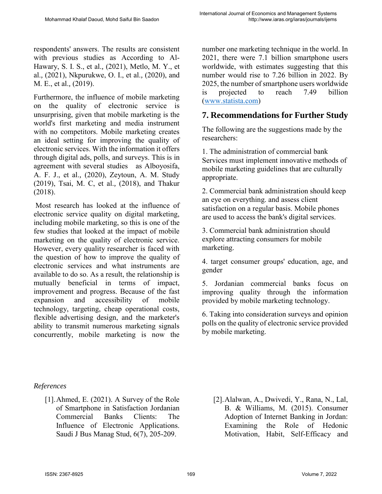respondents' answers. The results are consistent with previous studies as According to Al-Hawary, S. I. S., et al.*,* (2021), Metlo, M. Y., et al.*,* (2021), Nkpurukwe, O. I., et al.*,* (2020), and M. E., et al.*,* (2019).

Furthermore, the influence of mobile marketing on the quality of electronic service is unsurprising, given that mobile marketing is the world's first marketing and media instrument with no competitors. Mobile marketing creates an ideal setting for improving the quality of electronic services. With the information it offers through digital ads, polls, and surveys. This is in agreement with several studies as Alboyosifa, A. F. J., et al.*,* (2020), Zeytoun, A. M. Study (2019), Tsai, M. C, et al.*,* (2018), and Thakur (2018).

Most research has looked at the influence of electronic service quality on digital marketing, including mobile marketing, so this is one of the few studies that looked at the impact of mobile marketing on the quality of electronic service. However, every quality researcher is faced with the question of how to improve the quality of electronic services and what instruments are available to do so. As a result, the relationship is mutually beneficial in terms of impact, improvement and progress. Because of the fast expansion and accessibility of mobile technology, targeting, cheap operational costs, flexible advertising design, and the marketer's ability to transmit numerous marketing signals concurrently, mobile marketing is now the

number one marketing technique in the world. In 2021, there were 7.1 billion smartphone users worldwide, with estimates suggesting that this number would rise to 7.26 billion in 2022. By 2025, the number of smartphone users worldwide is projected to reach 7.49 billion [\(www.statista.com\)](http://www.statista.com/)

# **7. Recommendations for Further Study**

The following are the suggestions made by the researchers:

1. The administration of commercial bank Services must implement innovative methods of mobile marketing guidelines that are culturally appropriate.

2. Commercial bank administration should keep an eye on everything. and assess client satisfaction on a regular basis. Mobile phones are used to access the bank's digital services.

3. Commercial bank administration should explore attracting consumers for mobile marketing.

4. target consumer groups' education, age, and gender

5. Jordanian commercial banks focus on improving quality through the information provided by mobile marketing technology.

6. Taking into consideration surveys and opinion polls on the quality of electronic service provided by mobile marketing.

## *References*

- [1].Ahmed, E. (2021). A Survey of the Role of Smartphone in Satisfaction Jordanian Commercial Banks Clients: The Influence of Electronic Applications. Saudi J Bus Manag Stud, 6(7), 205-209.
- [2].Alalwan, A., Dwivedi, Y., Rana, N., Lal, B. & Williams, M. (2015). Consumer Adoption of Internet Banking in Jordan: Examining the Role of Hedonic Motivation, Habit, Self-Efficacy and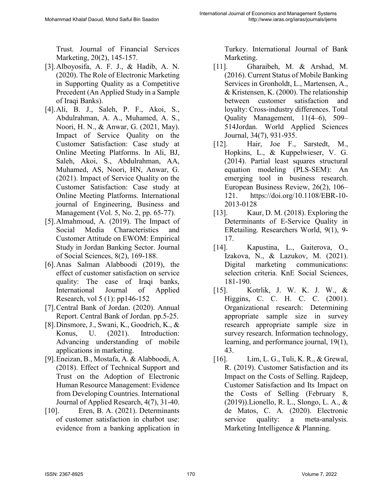Trust. Journal of Financial Services Marketing, 20(2), 145-157.

- [3].Alboyosifa, A. F. J., & Hadib, A. N. (2020). The Role of Electronic Marketing in Supporting Quality as a Competitive Precedent (An Applied Study in a Sample of Iraqi Banks).
- [4].Ali, B. J., Saleh, P. F., Akoi, S., Abdulrahman, A. A., Muhamed, A. S., Noori, H. N., & Anwar, G. (2021, May). Impact of Service Quality on the Customer Satisfaction: Case study at Online Meeting Platforms. In Ali, BJ, Saleh, Akoi, S., Abdulrahman, AA, Muhamed, AS, Noori, HN, Anwar, G. (2021). Impact of Service Quality on the Customer Satisfaction: Case study at Online Meeting Platforms. International journal of Engineering, Business and Management (Vol. 5, No. 2, pp. 65-77).
- [5].Almahmoud, A. (2019). The Impact of Social Media Characteristics and Customer Attitude on EWOM: Empirical Study in Jordan Banking Sector. Journal of Social Sciences, 8(2), 169-188.
- [6].Anas Salman Alabboodi (2019), the effect of customer satisfaction on service quality: The case of Iraqi banks, International Journal of Applied Research, vol 5 (1): pp146-152
- [7].Central Bank of Jordan. (2020). Annual Report. Central Bank of Jordan. pp.5-25.
- [8].Dinsmore, J., Swani, K., Goodrich, K., & Konus, U. (2021). Introduction: Advancing understanding of mobile applications in marketing.
- [9].Eneizan, B., Mostafa, A. & Alabboodi, A. (2018). Effect of Technical Support and Trust on the Adoption of Electronic Human Resource Management: Evidence from Developing Countries. International Journal of Applied Research, 4(7), 31-40.
- [10]. Eren, B. A. (2021). Determinants of customer satisfaction in chatbot use: evidence from a banking application in

Turkey. International Journal of Bank Marketing.

- [11]. Gharaibeh, M. & Arshad, M. (2016). Current Status of Mobile Banking Services in Gronholdt, L., Martensen, A., & Kristensen, K. (2000). The relationship between customer satisfaction and loyalty: Cross-industry differences. Total Quality Management, 11(4–6), 509– 514Jordan. World Applied Sciences Journal, 34(7), 931-935.
- [12]. Hair, Joe F., Sarstedt, M., Hopkins, L., & Kuppelwieser, V. G. (2014). Partial least squares structural equation modeling (PLS-SEM): An emerging tool in business research. European Business Review, 26(2), 106– 121. https://doi.org/10.1108/EBR-10- 2013-0128
- [13]. Kaur, D. M. (2018). Exploring the Determinants of E-Service Quality in ERetailing. Researchers World, 9(1), 9- 17.
- [14]. Kapustina, L., Gaiterova, O., Izakova, N., & Lazukov, M. (2021). Digital marketing communications: selection criteria. KnE Social Sciences, 181-190.
- [15]. Kotrlik, J. W. K. J. W., & Higgins, C. C. H. C. C. (2001). Organizational research: Determining appropriate sample size in survey research appropriate sample size in survey research. Information technology, learning, and performance journal, 19(1), 43.
- [16]. Lim, L. G., Tuli, K. R., & Grewal, R. (2019). Customer Satisfaction and its Impact on the Costs of Selling. Rajdeep, Customer Satisfaction and Its Impact on the Costs of Selling (February 8, (2019)).Lionello, R. L., Slongo, L. A., & de Matos, C. A. (2020). Electronic service quality: a meta-analysis. Marketing Intelligence & Planning.